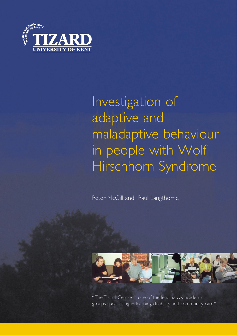

# Investigation of adaptive and maladaptive behaviour in people with Wolf Hirschhorn Syndrome

Peter McGill and Paul Langthorne



"The Tizard Centre is one of the leading UK academic groups specialising in learning disability and community care"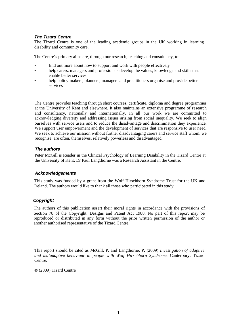#### *The Tizard Centre*

The Tizard Centre is one of the leading academic groups in the UK working in learning disability and community care.

The Centre's primary aims are, through our research, teaching and consultancy, to:

- find out more about how to support and work with people effectively
- help carers, managers and professionals develop the values, knowledge and skills that enable better services
- help policy-makers, planners, managers and practitioners organise and provide better services

The Centre provides teaching through short courses, certificate, diploma and degree programmes at the University of Kent and elsewhere. It also maintains an extensive programme of research and consultancy, nationally and internationally. In all our work we are committed to acknowledging diversity and addressing issues arising from social inequality. We seek to align ourselves with service users and to reduce the disadvantage and discrimination they experience. We support user empowerment and the development of services that are responsive to user need. We seek to achieve our mission without further disadvantaging carers and service staff whom, we recognise, are often, themselves, relatively powerless and disadvantaged.

#### *The authors*

Peter McGill is Reader in the Clinical Psychology of Learning Disability in the Tizard Centre at the University of Kent. Dr Paul Langthorne was a Research Assistant in the Centre.

#### *Acknowledgements*

This study was funded by a grant from the Wolf Hirschhorn Syndrome Trust for the UK and Ireland. The authors would like to thank all those who participated in this study.

#### *Copyright*

The authors of this publication assert their moral rights in accordance with the provisions of Section 78 of the Copyright, Designs and Patent Act 1988. No part of this report may be reproduced or distributed in any form without the prior written permission of the author or another authorised representative of the Tizard Centre.

This report should be cited as McGill, P. and Langthorne, P. (2009) *Investigation of adaptive and maladaptive behaviour in people with Wolf Hirschhorn Syndrome.* Canterbury: Tizard Centre.

© (2009) Tizard Centre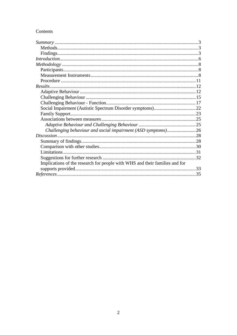# Contents

| Challenging behaviour and social impairment (ASD symptoms)26                |  |
|-----------------------------------------------------------------------------|--|
|                                                                             |  |
|                                                                             |  |
|                                                                             |  |
|                                                                             |  |
|                                                                             |  |
| Implications of the research for people with WHS and their families and for |  |
|                                                                             |  |
|                                                                             |  |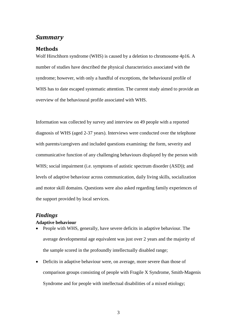# <span id="page-3-0"></span>*Summary*

## <span id="page-3-1"></span>**Methods**

Wolf Hirschhorn syndrome (WHS) is caused by a deletion to chromosome 4p16. A number of studies have described the physical characteristics associated with the syndrome; however, with only a handful of exceptions, the behavioural profile of WHS has to date escaped systematic attention. The current study aimed to provide an overview of the behavioural profile associated with WHS.

Information was collected by survey and interview on 49 people with a reported diagnosis of WHS (aged 2-37 years). Interviews were conducted over the telephone with parents/caregivers and included questions examining: the form, severity and communicative function of any challenging behaviours displayed by the person with WHS; social impairment (i.e. symptoms of autistic spectrum disorder (ASD)); and levels of adaptive behaviour across communication, daily living skills, socialization and motor skill domains. Questions were also asked regarding family experiences of the support provided by local services.

# <span id="page-3-2"></span>*Findings*

#### **Adaptive behaviour**

- People with WHS, generally, have severe deficits in adaptive behaviour. The average developmental age equivalent was just over 2 years and the majority of the sample scored in the profoundly intellectually disabled range;
- Deficits in adaptive behaviour were, on average, more severe than those of comparison groups consisting of people with Fragile X Syndrome, Smith-Magenis Syndrome and for people with intellectual disabilities of a mixed etiology;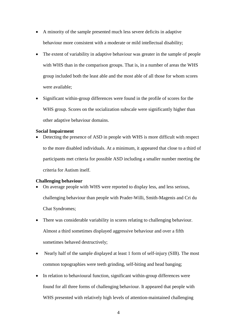- A minority of the sample presented much less severe deficits in adaptive behaviour more consistent with a moderate or mild intellectual disability;
- The extent of variability in adaptive behaviour was greater in the sample of people with WHS than in the comparison groups. That is, in a number of areas the WHS group included both the least able and the most able of all those for whom scores were available;
- Significant within-group differences were found in the profile of scores for the WHS group. Scores on the socialization subscale were significantly higher than other adaptive behaviour domains.

#### **Social Impairment**

• Detecting the presence of ASD in people with WHS is more difficult with respect to the more disabled individuals. At a minimum, it appeared that close to a third of participants met criteria for possible ASD including a smaller number meeting the criteria for Autism itself.

#### **Challenging behaviour**

- On average people with WHS were reported to display less, and less serious, challenging behaviour than people with Prader-Willi, Smith-Magenis and Cri du Chat Syndromes;
- There was considerable variability in scores relating to challenging behaviour. Almost a third sometimes displayed aggressive behaviour and over a fifth sometimes behaved destructively;
- Nearly half of the sample displayed at least 1 form of self-injury (SIB). The most common topographies were teeth grinding, self-biting and head banging;
- In relation to behavioural function, significant within-group differences were found for all three forms of challenging behaviour. It appeared that people with WHS presented with relatively high levels of attention-maintained challenging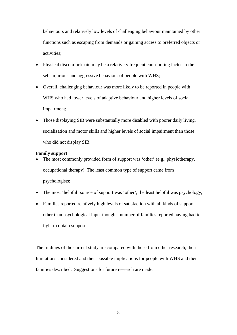behaviours and relatively low levels of challenging behaviour maintained by other functions such as escaping from demands or gaining access to preferred objects or activities;

- Physical discomfort/pain may be a relatively frequent contributing factor to the self-injurious and aggressive behaviour of people with WHS;
- Overall, challenging behaviour was more likely to be reported in people with WHS who had lower levels of adaptive behaviour and higher levels of social impairment;
- Those displaying SIB were substantially more disabled with poorer daily living, socialization and motor skills and higher levels of social impairment than those who did not display SIB.

#### **Family support**

- The most commonly provided form of support was 'other' (e.g., physiotherapy, occupational therapy). The least common type of support came from psychologists;
- The most 'helpful' source of support was 'other', the least helpful was psychology;
- Families reported relatively high levels of satisfaction with all kinds of support other than psychological input though a number of families reported having had to fight to obtain support.

The findings of the current study are compared with those from other research, their limitations considered and their possible implications for people with WHS and their families described. Suggestions for future research are made.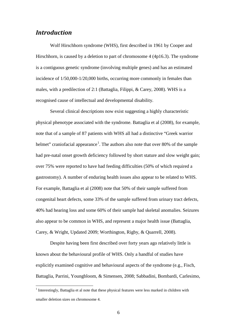# <span id="page-6-0"></span>*Introduction*

Wolf Hirschhorn syndrome (WHS), first described in 1961 by Cooper and Hirschhorn, is caused by a deletion to part of chromosome 4 (4p16.3). The syndrome is a contiguous genetic syndrome (involving multiple genes) and has an estimated incidence of 1/50,000-1/20,000 births, occurring more commonly in females than males, with a predilection of 2:1 (Battaglia, Filippi, & Carey, 2008). WHS is a recognised cause of intellectual and developmental disability.

Several clinical descriptions now exist suggesting a highly characteristic physical phenotype associated with the syndrome. Battaglia et al (2008), for example, note that of a sample of 87 patients with WHS all had a distinctive "Greek warrior helmet" craniofacial appearance<sup>[1](#page-6-1)</sup>. The authors also note that over 80% of the sample had pre-natal onset growth deficiency followed by short stature and slow weight gain; over 75% were reported to have had feeding difficulties (50% of which required a gastrostomy). A number of enduring health issues also appear to be related to WHS. For example, Battaglia et al (2008) note that 50% of their sample suffered from congenital heart defects, some 33% of the sample suffered from urinary tract defects, 40% had hearing loss and some 60% of their sample had skeletal anomalies. Seizures also appear to be common in WHS, and represent a major health issue (Battaglia, Carey, & Wright, Updated 2009; Worthington, Rigby, & Quarrell, 2008).

Despite having been first described over forty years ago relatively little is known about the behavioural profile of WHS. Only a handful of studies have explicitly examined cognitive and behavioural aspects of the syndrome (e.g., Fisch, Battaglia, Parrini, Youngbloom, & Simensen, 2008; Sabbadini, Bombardi, Carlesimo,

<span id="page-6-1"></span><sup>&</sup>lt;sup>1</sup> Interestingly, Battaglia et al note that these physical features were less marked in children with smaller deletion sizes on chromosome 4.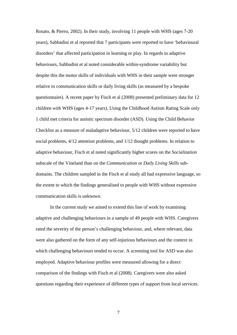Rosato, & Pierro, 2002). In their study, involving 11 people with WHS (ages 7-20 years), Sabbadini et al reported that 7 participants were reported to have 'behavioural disorders' that affected participation in learning or play. In regards to adaptive behaviours, Sabbadini et al noted considerable within-syndrome variability but despite this the motor skills of individuals with WHS in their sample were stronger relative to communication skills or daily living skills (as measured by a bespoke questionnaire). A recent paper by Fisch et al (2008) presented preliminary data for 12 children with WHS (ages 4-17 years). Using the Childhood Autism Rating Scale only 1 child met criteria for autistic spectrum disorder (ASD). Using the Child Behavior Checklist as a measure of maladaptive behaviour, 5/12 children were reported to have social problems, 4/12 attention problems, and 1/12 thought problems. In relation to adaptive behaviour, Fisch et al noted significantly higher scores on the *Socialization* subscale of the Vineland than on the *Communication* or *Daily Living Skills* subdomains. The children sampled in the Fisch et al study all had expressive language, so the extent to which the findings generalised to people with WHS without expressive communication skills is unknown.

In the current study we aimed to extend this line of work by examining adaptive and challenging behaviours in a sample of 49 people with WHS. Caregivers rated the severity of the person's challenging behaviour, and, where relevant, data were also gathered on the form of any self-injurious behaviours and the context in which challenging behaviours tended to occur. A screening tool for ASD was also employed. Adaptive behaviour profiles were measured allowing for a direct comparison of the findings with Fisch et al (2008). Caregivers were also asked questions regarding their experience of different types of support from local services.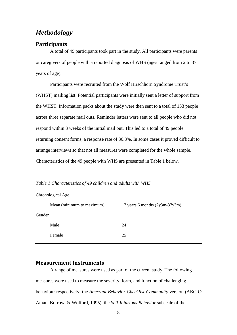# <span id="page-8-0"></span>*Methodology*

#### <span id="page-8-1"></span>**Participants**

A total of 49 participants took part in the study. All participants were parents or caregivers of people with a reported diagnosis of WHS (ages ranged from 2 to 37 years of age).

Participants were recruited from the Wolf Hirschhorn Syndrome Trust's (WHST) mailing list. Potential participants were initially sent a letter of support from the WHST. Information packs about the study were then sent to a total of 133 people across three separate mail outs. Reminder letters were sent to all people who did not respond within 3 weeks of the initial mail out. This led to a total of 49 people returning consent forms, a response rate of 36.8%. In some cases it proved difficult to arrange interviews so that not all measures were completed for the whole sample. Characteristics of the 49 people with WHS are presented in Table 1 below.

|        | Chronological Age         |                                  |  |  |  |
|--------|---------------------------|----------------------------------|--|--|--|
|        | Mean (minimum to maximum) | 17 years 6 months $(2y3m-37y3m)$ |  |  |  |
| Gender |                           |                                  |  |  |  |
|        | Male                      | 24                               |  |  |  |
|        | Female                    | 25                               |  |  |  |
|        |                           |                                  |  |  |  |

*Table 1 Characteristics of 49 children and adults with WHS*

#### <span id="page-8-2"></span>**Measurement Instruments**

A range of measures were used as part of the current study. The following measures were used to measure the severity, form, and function of challenging behaviour respectively: the *Aberrant Behavior Checklist-Community* version (ABC-C; Aman, Borrow, & Wolford, 1995)*,* the *Self-Injurious Behavior* subscale of the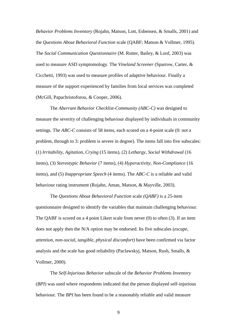*Behavior Problems Inventory* (Rojahn, Matson, Lott, Esbensen, & Smalls, 2001) and the *Questions About Behavioral Function* scale (QABF; Matson & Vollmer, 1995). The *Social Communication Questionnaire* (M. Rutter, Bailey, & Lord, 2003) was used to measure ASD symptomology. The *Vineland Screener* (Sparrow, Carter, & Cicchetti, 1993) was used to measure profiles of adaptive behaviour. Finally a measure of the support experienced by families from local services was completed (McGill, Papachristoforou, & Cooper, 2006).

The *Aberrant Behavior Checklist-Community (ABC-C)* was designed to measure the severity of challenging behaviour displayed by individuals in community settings. The *ABC-C* consists of 58 items, each scored on a 4-point scale (0: not a problem, through to 3: problem is severe in degree). The items fall into five subscales: (1) *Irritability*, *Agitation*, *Crying* (15 items), (2) *Lethargy*, *Social Withdrawal* (16 items), (3) *Stereotypic Behavior* (7 items), (4) *Hyperactivity*, *Non-Compliance* (16 items), and (5) *Inappropriate Speech* (4 items). The *ABC-C* is a reliable and valid behaviour rating instrument (Rojahn, Aman, Matson, & Mayville, 2003).

The *Questions About Behavioral Function* scale *(QABF)* is a 25-item questionnaire designed to identify the variables that maintain challenging behaviour. The QABF is scored on a 4 point Likert scale from never (0) to often (3). If an item does not apply then the N/A option may be endorsed. Its five subscales (*escape*, *attention*, *non-social*, *tangible*, *physical discomfort*) have been confirmed via factor analysis and the scale has good reliability (Paclawskyj, Matson, Rush, Smalls, & Vollmer, 2000).

The *Self-Injurious Behavior* subscale of the *Behavior Problems Inventory* (*BPI*) was used where respondents indicated that the person displayed self-injurious behaviour. The *BPI* has been found to be a reasonably reliable and valid measure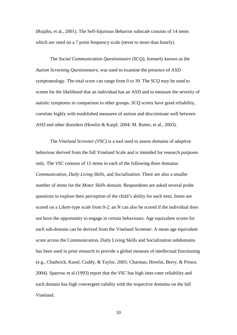(Rojahn, et al., 2001). The Self-Injurious Behavior subscale consists of 14 items which are rated on a 7 point frequency scale (never to more than hourly).

The *Social Communication Questionnaire (SCQ)*, formerly known as the *Autism Screening Questionnaire*, was used to examine the presence of ASD symptomology. The total score can range from 0 to 39. The *SCQ* may be used to screen for the likelihood that an individual has an ASD and to measure the severity of autistic symptoms in comparison to other groups. *SCQ* scores have good reliability, correlate highly with established measures of autism and discriminate well between ASD and other disorders (Howlin & Karpf, 2004; M. Rutter, et al., 2003).

The *Vineland Screener (VSC)* is a tool used to assess domains of adaptive behaviour derived from the full Vineland Scale and is intended for research purposes only. The *VSC* consists of 15 items in each of the following three domains: *Communication*, *Daily Living Skills*, and *Socialization*. There are also a smaller number of items for the *Motor Skills* domain. Respondents are asked several probe questions to explore their perception of the child's ability for each item. Items are scored on a Likert-type scale from 0-2; an N can also be scored if the individual does not have the opportunity to engage in certain behaviours. Age equivalent scores for each sub-domain can be derived from the Vineland Screener. A mean age equivalent score across the Communication, Daily Living Skills and Socialization subdomains has been used in prior research to provide a global measure of intellectual functioning (e.g., Chadwick, Kusel, Cuddy, & Taylor, 2005; Charman, Howlin, Berry, & Prince, 2004). Sparrow et al (1993) report that the *VSC* has high inter-rater reliability and each domain has high convergent validity with the respective domains on the full Vineland.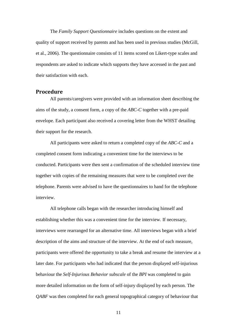The *Family Support Questionnaire* includes questions on the extent and quality of support received by parents and has been used in previous studies (McGill, et al., 2006). The questionnaire consists of 11 items scored on Likert-type scales and respondents are asked to indicate which supports they have accessed in the past and their satisfaction with each.

## <span id="page-11-0"></span>**Procedure**

All parents/caregivers were provided with an information sheet describing the aims of the study, a consent form, a copy of the *ABC-C* together with a pre-paid envelope. Each participant also received a covering letter from the WHST detailing their support for the research.

All participants were asked to return a completed copy of the *ABC-C* and a completed consent form indicating a convenient time for the interviews to be conducted. Participants were then sent a confirmation of the scheduled interview time together with copies of the remaining measures that were to be completed over the telephone. Parents were advised to have the questionnaires to hand for the telephone interview.

All telephone calls began with the researcher introducing himself and establishing whether this was a convenient time for the interview. If necessary, interviews were rearranged for an alternative time. All interviews began with a brief description of the aims and structure of the interview. At the end of each measure, participants were offered the opportunity to take a break and resume the interview at a later date. For participants who had indicated that the person displayed self-injurious behaviour the *Self-Injurious Behavior subscale* of the *BPI* was completed to gain more detailed information on the form of self-injury displayed by each person. The *QABF* was then completed for each general topographical category of behaviour that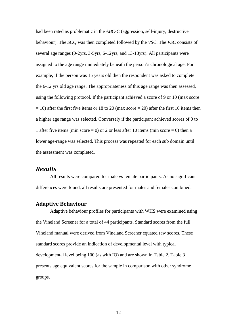had been rated as problematic in the *ABC-C* (aggression, self-injury, destructive behaviour). The *SCQ* was then completed followed by the *VSC*. The *VSC* consists of several age ranges (0-2yrs, 3-5yrs, 6-12yrs, and 13-18yrs). All participants were assigned to the age range immediately beneath the person's chronological age. For example, if the person was 15 years old then the respondent was asked to complete the 6-12 yrs old age range. The appropriateness of this age range was then assessed, using the following protocol. If the participant achieved a score of 9 or 10 (max score  $= 10$ ) after the first five items or 18 to 20 (max score  $= 20$ ) after the first 10 items then a higher age range was selected. Conversely if the participant achieved scores of 0 to 1 after five items (min score  $= 0$ ) or 2 or less after 10 items (min score  $= 0$ ) then a lower age-range was selected. This process was repeated for each sub domain until the assessment was completed.

# <span id="page-12-0"></span>*Results*

All results were compared for male vs female participants. As no significant differences were found, all results are presented for males and females combined.

## <span id="page-12-1"></span>**Adaptive Behaviour**

Adaptive behaviour profiles for participants with WHS were examined using the Vineland Screener for a total of 44 participants. Standard scores from the full Vineland manual were derived from Vineland Screener equated raw scores. These standard scores provide an indication of developmental level with typical developmental level being 100 (as with IQ) and are shown in Table 2. Table 3 presents age equivalent scores for the sample in comparison with other syndrome groups.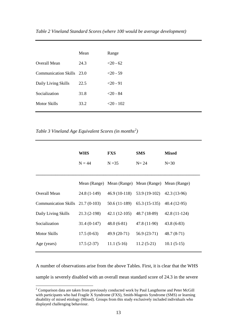| Table 2 Vineland Standard Scores (where 100 would be average development) |  |  |  |  |
|---------------------------------------------------------------------------|--|--|--|--|
|---------------------------------------------------------------------------|--|--|--|--|

|                           | Mean | Range       |
|---------------------------|------|-------------|
| Overall Mean              | 24.3 | $<20-62$    |
| Communication Skills 23.0 |      | $<20-59$    |
| Daily Living Skills       | 22.5 | $<$ 20 - 91 |
| Socialization             | 31.8 | $<$ 20 - 84 |
| Motor Skills              | 33.2 | $<20-102$   |
|                           |      |             |

*Table 3 Vineland Age Equivalent Scores (in months[2](#page-13-0) )*

|                                   | <b>WHS</b><br>$N = 44$ | <b>FXS</b><br>$N = 35$                              | <b>SMS</b><br>$N=24$          | <b>Mixed</b><br>$N=30$ |
|-----------------------------------|------------------------|-----------------------------------------------------|-------------------------------|------------------------|
|                                   |                        | Mean (Range) Mean (Range) Mean (Range) Mean (Range) |                               |                        |
| Overall Mean                      | $24.8(1-149)$          |                                                     | $46.9(10-118)$ $53.9(19-102)$ | $42.3(13-96)$          |
| Communication Skills 21.7 (0-103) |                        | 50.6 (11-189)                                       | $65.3(15-135)$ $40.4(12-95)$  |                        |
| Daily Living Skills               | $21.3(2-198)$          | $42.1(12-105)$                                      | 48.7 (18-89)                  | $42.8(11-124)$         |
| Socialization                     | $31.4(0-147)$          | $48.0(6-81)$                                        | 47.8 (11-90)                  | $43.8(6-83)$           |
| <b>Motor Skills</b>               | $17.5(0-63)$           | 49.9 (20-71)                                        | $56.9(23-71)$                 | $48.7(8-71)$           |
| Age (years)                       | $17.5(2-37)$           | $11.1(5-16)$                                        | $11.2(5-21)$                  | $10.1(5-15)$           |

A number of observations arise from the above Tables. First, it is clear that the WHS sample is severely disabled with an overall mean standard score of 24.3 in the severe

<span id="page-13-0"></span><sup>&</sup>lt;sup>2</sup> Comparison data are taken from previously conducted work by Paul Langthorne and Peter McGill with participants who had Fragile X Syndrome (FXS), Smith-Magenis Syndrome (SMS) or learning disability of mixed etiology (Mixed). Groups from this study exclusively included individuals who displayed challenging behaviour.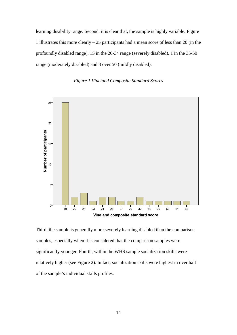learning disability range. Second, it is clear that, the sample is highly variable. Figure 1 illustrates this more clearly – 25 participants had a mean score of less than 20 (in the profoundly disabled range), 15 in the 20-34 range (severely disabled), 1 in the 35-50 range (moderately disabled) and 3 over 50 (mildly disabled).





Third, the sample is generally more severely learning disabled than the comparison samples, especially when it is considered that the comparison samples were significantly younger. Fourth, within the WHS sample socialization skills were relatively higher (see Figure 2). In fact, socialization skills were highest in over half of the sample's individual skills profiles.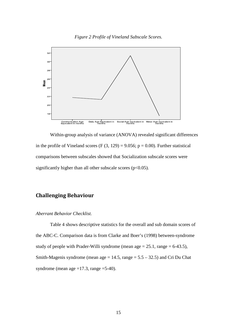*Figure 2 Profile of Vineland Subscale Scores.* 



Within-group analysis of variance (ANOVA) revealed significant differences in the profile of Vineland scores (F  $(3, 129) = 9.056$ ; p = 0.00). Further statistical comparisons between subscales showed that Socialization subscale scores were significantly higher than all other subscale scores ( $p<0.05$ ).

# <span id="page-15-0"></span>**Challenging Behaviour**

#### *Aberrant Behavior Checklist.*

Table 4 shows descriptive statistics for the overall and sub domain scores of the ABC-C. Comparison data is from Clarke and Boer's (1998) between-syndrome study of people with Prader-Willi syndrome (mean age  $= 25.1$ , range  $= 6-43.5$ ), Smith-Magenis syndrome (mean age  $= 14.5$ , range  $= 5.5 - 32.5$ ) and Cri Du Chat syndrome (mean age  $=17.3$ , range  $=5-40$ ).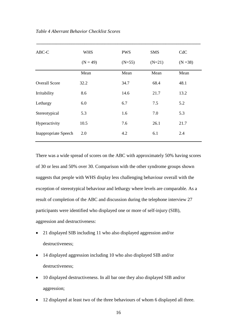| ABC-C                       | <b>WHS</b> | <b>PWS</b> | <b>SMS</b> | CdC        |
|-----------------------------|------------|------------|------------|------------|
|                             | $(N = 49)$ | $(N=55)$   | $(N=21)$   | $(N = 38)$ |
|                             | Mean       | Mean       | Mean       | Mean       |
| <b>Overall Score</b>        | 32.2       | 34.7       | 68.4       | 48.1       |
| Irritability                | 8.6        | 14.6       | 21.7       | 13.2       |
| Lethargy                    | 6.0        | 6.7        | 7.5        | 5.2        |
| Stereotypical               | 5.3        | 1.6        | 7.0        | 5.3        |
| Hyperactivity               | 10.5       | 7.6        | 26.1       | 21.7       |
| <b>Inappropriate Speech</b> | 2.0        | 4.2        | 6.1        | 2.4        |

**\_\_\_\_\_\_\_\_\_\_\_\_\_\_\_\_\_\_\_\_\_\_\_\_\_\_\_\_\_\_\_\_\_\_\_\_\_\_\_\_\_\_\_\_\_\_\_\_\_\_\_\_\_\_\_\_\_\_\_\_\_\_\_\_\_\_\_\_\_\_\_\_\_\_\_**

There was a wide spread of scores on the ABC with approximately 50% having scores of 30 or less and 50% over 30. Comparison with the other syndrome groups shown suggests that people with WHS display less challenging behaviour overall with the exception of stereotypical behaviour and lethargy where levels are comparable. As a result of completion of the ABC and discussion during the telephone interview 27 participants were identified who displayed one or more of self-injury (SIB), aggression and destructiveness:

- 21 displayed SIB including 11 who also displayed aggression and/or destructiveness;
- 14 displayed aggression including 10 who also displayed SIB and/or destructiveness;
- 10 displayed destructiveness. In all bar one they also displayed SIB and/or aggression;
- 12 displayed at least two of the three behaviours of whom 6 displayed all three.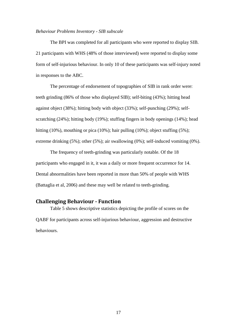#### *Behaviour Problems Inventory - SIB subscale*

The BPI was completed for all participants who were reported to display SIB. 21 participants with WHS (48% of those interviewed) were reported to display some form of self-injurious behaviour. In only 10 of these participants was self-injury noted in responses to the ABC.

The percentage of endorsement of topographies of SIB in rank order were: teeth grinding (86% of those who displayed SIB); self-biting (43%); hitting head against object (38%); hitting body with object (33%); self-punching (29%); selfscratching (24%); hitting body (19%); stuffing fingers in body openings (14%); head hitting (10%), mouthing or pica (10%); hair pulling (10%); object stuffing (5%); extreme drinking (5%); other (5%); air swallowing (0%); self-induced vomiting (0%).

The frequency of teeth-grinding was particularly notable. Of the 18 participants who engaged in it, it was a daily or more frequent occurrence for 14. Dental abnormalities have been reported in more than 50% of people with WHS (Battaglia et al, 2006) and these may well be related to teeth-grinding.

## <span id="page-17-0"></span>**Challenging Behaviour - Function**

Table 5 shows descriptive statistics depicting the profile of scores on the QABF for participants across self-injurious behaviour, aggression and destructive behaviours.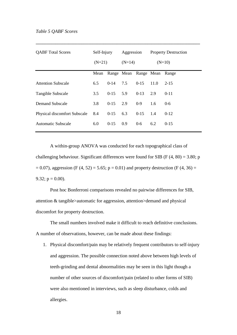| <b>QABF</b> Total Scores            | Self-Injury<br>$(N=21)$ |                             | Aggression<br>$(N=14)$ |          | $(N=10)$ | <b>Property Destruction</b> |
|-------------------------------------|-------------------------|-----------------------------|------------------------|----------|----------|-----------------------------|
|                                     | Mean                    | Range Mean Range Mean Range |                        |          |          |                             |
| <b>Attention Subscale</b>           | 6.5                     | $0-14$                      | 7.5                    | $0-15$   | 11.0     | $2 - 15$                    |
| Tangible Subscale                   | 3.5                     | $0-15$                      | 5.9                    | $0-13$   | 2.9      | $0 - 11$                    |
| Demand Subscale                     | 3.8                     | $0-15$                      | 2.9                    | $0 - 9$  | 1.6      | $0 - 6$                     |
| <b>Physical discomfort Subscale</b> | 8.4                     | $0-15$                      | 6.3                    | $0 - 15$ | 1.4      | $0-12$                      |
| Automatic Subscale                  | 6.0                     | $0-15$                      | 0.9                    | $0 - 6$  | 6.2      | $0-15$                      |

**\_\_\_\_\_\_\_\_\_\_\_\_\_\_\_\_\_\_\_\_\_\_\_\_\_\_\_\_\_\_\_\_\_\_\_\_\_\_\_\_\_\_\_\_\_\_\_\_\_\_\_\_\_\_\_\_\_\_\_\_\_\_\_\_\_\_\_\_\_\_\_\_\_\_\_**

A within-group ANOVA was conducted for each topographical class of challenging behaviour. Significant differences were found for SIB ( $F(4, 80) = 3.80$ ; p  $= 0.07$ ), aggression (F (4, 52) = 5.65; p = 0.01) and property destruction (F (4, 36) = 9.32;  $p = 0.00$ ).

Post hoc Bonferroni comparisons revealed no pairwise differences for SIB, attention & tangible>automatic for aggression, attention>demand and physical discomfort for property destruction.

The small numbers involved make it difficult to reach definitive conclusions. A number of observations, however, can be made about these findings:

1. Physical discomfort/pain may be relatively frequent contributors to self-injury and aggression. The possible connection noted above between high levels of teeth-grinding and dental abnormalities may be seen in this light though a number of other sources of discomfort/pain (related to other forms of SIB) were also mentioned in interviews, such as sleep disturbance, colds and allergies.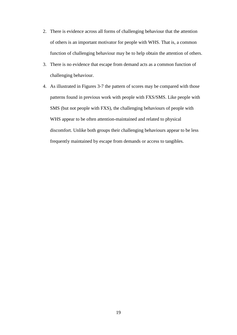- 2. There is evidence across all forms of challenging behaviour that the attention of others is an important motivator for people with WHS. That is, a common function of challenging behaviour may be to help obtain the attention of others.
- 3. There is no evidence that escape from demand acts as a common function of challenging behaviour.
- 4. As illustrated in Figures 3-7 the pattern of scores may be compared with those patterns found in previous work with people with FXS/SMS. Like people with SMS (but not people with FXS), the challenging behaviours of people with WHS appear to be often attention-maintained and related to physical discomfort. Unlike both groups their challenging behaviours appear to be less frequently maintained by escape from demands or access to tangibles.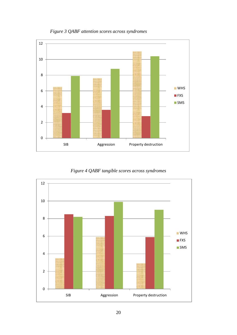

*Figure 3 QABF attention scores across syndromes*

*Figure 4 QABF tangible scores across syndromes*

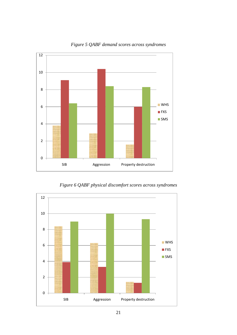

*Figure 5 QABF demand scores across syndromes*

*Figure 6 QABF physical discomfort scores across syndromes*

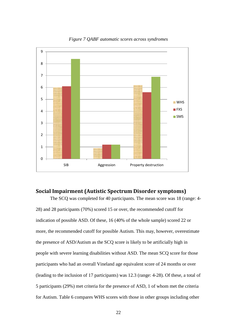

*Figure 7 QABF automatic scores across syndromes*

## <span id="page-22-0"></span>**Social Impairment (Autistic Spectrum Disorder symptoms)**

The SCQ was completed for 40 participants. The mean score was 18 (range: 4- 28) and 28 participants (70%) scored 15 or over, the recommended cutoff for indication of possible ASD. Of these, 16 (40% of the whole sample) scored 22 or more, the recommended cutoff for possible Autism. This may, however, overestimate the presence of ASD/Autism as the SCQ score is likely to be artificially high in people with severe learning disabilities without ASD. The mean SCQ score for those participants who had an overall Vineland age equivalent score of 24 months or over (leading to the inclusion of 17 participants) was 12.3 (range: 4-28). Of these, a total of 5 participants (29%) met criteria for the presence of ASD, 1 of whom met the criteria for Autism. Table 6 compares WHS scores with those in other groups including other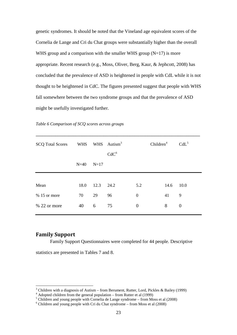genetic syndromes. It should be noted that the Vineland age equivalent scores of the Cornelia de Lange and Cri du Chat groups were substantially higher than the overall WHS group and a comparison with the smaller WHS group  $(N=17)$  is more appropriate. Recent research (e.g., Moss, Oliver, Berg, Kaur, & Jephcott, 2008) has concluded that the prevalence of ASD is heightened in people with CdL while it is not thought to be heightened in CdC. The figures presented suggest that people with WHS fall somewhere between the two syndrome groups and that the prevalence of ASD might be usefully investigated further.

| <b>SCQ Total Scores</b> | WHS    |        | WHS Autism <sup>3</sup> |                  | Children <sup>4</sup> |      | $CdL^5$  |
|-------------------------|--------|--------|-------------------------|------------------|-----------------------|------|----------|
|                         | $N=40$ | $N=17$ | CdC <sup>6</sup>        |                  |                       |      |          |
|                         |        |        |                         |                  |                       |      |          |
| Mean                    | 18.0   | 12.3   | 24.2                    | 5.2              |                       | 14.6 | 10.0     |
| $% 15$ or more          | 70     | 29     | 96                      | $\mathbf{0}$     |                       | 41   | 9        |
| $% 22$ or more          | 40     | 6      | 75                      | $\boldsymbol{0}$ |                       | 8    | $\theta$ |

**\_\_\_\_\_\_\_\_\_\_\_\_\_\_\_\_\_\_\_\_\_\_\_\_\_\_\_\_\_\_\_\_\_\_\_\_\_\_\_\_\_\_\_\_\_\_\_\_\_\_\_\_\_\_\_\_\_\_\_\_\_\_\_\_\_\_\_\_\_\_\_\_\_\_\_**

*Table 6 Comparison of SCQ scores across groups*

## <span id="page-23-0"></span>**Family Support**

Family Support Questionnaires were completed for 44 people. Descriptive

statistics are presented in Tables 7 and 8.

<span id="page-23-1"></span><sup>&</sup>lt;sup>3</sup> Children with a diagnosis of Autism – from Berument, Rutter, Lord, Pickles & Bailey (1999)<br>
<sup>4</sup> Adopted children from the general population – from Rutter et al (1999)<br>
<sup>5</sup> Children and young people with Cornelia de L

<span id="page-23-2"></span>

<span id="page-23-4"></span><span id="page-23-3"></span>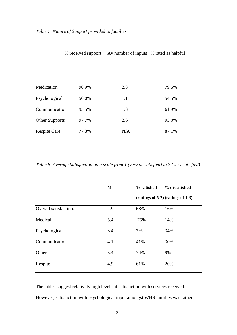|                     |       | % received support Av number of inputs % rated as helpful |       |
|---------------------|-------|-----------------------------------------------------------|-------|
|                     |       |                                                           |       |
|                     |       |                                                           |       |
| Medication          | 90.9% | 2.3                                                       | 79.5% |
| Psychological       | 50.0% | 1.1                                                       | 54.5% |
| Communication       | 95.5% | 1.3                                                       | 61.9% |
| Other Supports      | 97.7% | 2.6                                                       | 93.0% |
| <b>Respite Care</b> | 77.3% | N/A                                                       | 87.1% |

\_\_\_\_\_\_\_\_\_\_\_\_\_\_\_\_\_\_\_\_\_\_\_\_\_\_\_\_\_\_\_\_\_\_\_\_\_\_\_\_\_\_\_\_\_\_\_\_\_\_\_\_\_\_\_\_\_\_\_\_\_\_\_\_\_\_\_\_\_

*Table 8 Average Satisfaction on a scale from 1 (very dissatisfied) to 7 (very satisfied)*

|                       | M   | % satisfied | % dissatisfied                      |
|-----------------------|-----|-------------|-------------------------------------|
|                       |     |             | $(ratings of 5-7) (ratings of 1-3)$ |
| Overall satisfaction. | 4.9 | 68%         | 16%                                 |
| Medical.              | 5.4 | 75%         | 14%                                 |
| Psychological         | 3.4 | 7%          | 34%                                 |
| Communication         | 4.1 | 41%         | 30%                                 |
| Other                 | 5.4 | 74%         | 9%                                  |
| Respite               | 4.9 | 61%         | 20%                                 |
|                       |     |             |                                     |

The tables suggest relatively high levels of satisfaction with services received. However, satisfaction with psychological input amongst WHS families was rather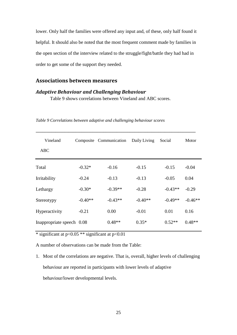lower. Only half the families were offered any input and, of these, only half found it helpful. It should also be noted that the most frequent comment made by families in the open section of the interview related to the struggle/fight/battle they had had in order to get some of the support they needed.

# <span id="page-25-0"></span>**Associations between measures**

## <span id="page-25-1"></span>*Adaptive Behaviour and Challenging Behaviour*

Table 9 shows correlations between Vineland and ABC scores.

| Vineland<br>ABC           |           | Composite Communication | Daily Living | Social    | Motor     |
|---------------------------|-----------|-------------------------|--------------|-----------|-----------|
|                           |           |                         |              |           |           |
| Total                     | $-0.32*$  | $-0.16$                 | $-0.15$      | $-0.15$   | $-0.04$   |
| Irritability              | $-0.24$   | $-0.13$                 | $-0.13$      | $-0.05$   | 0.04      |
| Lethargy                  | $-0.30*$  | $-0.39**$               | $-0.28$      | $-0.43**$ | $-0.29$   |
| Stereotypy                | $-0.40**$ | $-0.43**$               | $-0.40**$    | $-0.49**$ | $-0.46**$ |
| Hyperactivity             | $-0.21$   | 0.00                    | $-0.01$      | 0.01      | 0.16      |
| Inappropriate speech 0.08 |           | $0.48**$                | $0.35*$      | $0.52**$  | $0.48**$  |

*Table 9 Correlations between adaptive and challenging behaviour scores*

\* significant at  $p<0.05$  \*\* significant at  $p<0.01$ 

A number of observations can be made from the Table:

1. Most of the correlations are negative. That is, overall, higher levels of challenging behaviour are reported in participants with lower levels of adaptive behaviour/lower developmental levels.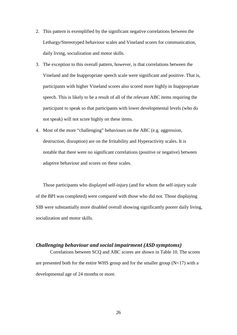- 2. This pattern is exemplified by the significant negative correlations between the Lethargy/Stereotyped behaviour scales and Vineland scores for communication, daily living, socialization and motor skills.
- 3. The exception to this overall pattern, however, is that correlations between the Vineland and the Inappropriate speech scale were significant and positive. That is, participants with higher Vineland scores also scored more highly in Inappropriate speech. This is likely to be a result of all of the relevant ABC items requiring the participant to speak so that participants with lower developmental levels (who do not speak) will not score highly on these items.
- 4. Most of the more "challenging" behaviours on the ABC (e.g. aggression, destruction, disruption) are on the Irritability and Hyperactivity scales. It is notable that there were no significant correlations (positive or negative) between adaptive behaviour and scores on these scales.

Those participants who displayed self-injury (and for whom the self-injury scale of the BPI was completed) were compared with those who did not. Those displaying SIB were substantially more disabled overall showing significantly poorer daily living, socialization and motor skills.

## <span id="page-26-0"></span>*Challenging behaviour and social impairment (ASD symptoms)*

Correlations between SCQ and ABC scores are shown in Table 10. The scores are presented both for the entire WHS group and for the smaller group  $(N=17)$  with a developmental age of 24 months or more.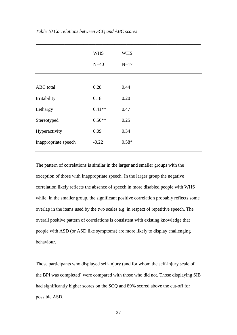|                      | <b>WHS</b> | <b>WHS</b> |  |
|----------------------|------------|------------|--|
|                      | $N=40$     | $N=17$     |  |
|                      |            |            |  |
| <b>ABC</b> total     | 0.28       | 0.44       |  |
| Irritability         | 0.18       | 0.20       |  |
| Lethargy             | $0.41**$   | 0.47       |  |
| Stereotyped          | $0.50**$   | 0.25       |  |
| Hyperactivity        | 0.09       | 0.34       |  |
| Inappropriate speech | $-0.22$    | $0.58*$    |  |
|                      |            |            |  |

The pattern of correlations is similar in the larger and smaller groups with the exception of those with Inappropriate speech. In the larger group the negative correlation likely reflects the absence of speech in more disabled people with WHS while, in the smaller group, the significant positive correlation probably reflects some overlap in the items used by the two scales e.g. in respect of repetitive speech. The overall positive pattern of correlations is consistent with existing knowledge that people with ASD (or ASD like symptoms) are more likely to display challenging behaviour.

Those participants who displayed self-injury (and for whom the self-injury scale of the BPI was completed) were compared with those who did not. Those displaying SIB had significantly higher scores on the SCQ and 89% scored above the cut-off for possible ASD.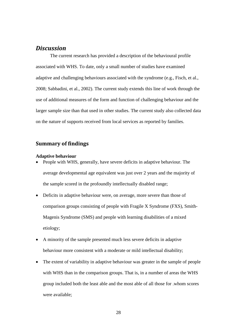# <span id="page-28-0"></span>*Discussion*

The current research has provided a description of the behavioural profile associated with WHS. To date, only a small number of studies have examined adaptive and challenging behaviours associated with the syndrome (e.g., Fisch, et al., 2008; Sabbadini, et al., 2002). The current study extends this line of work through the use of additional measures of the form and function of challenging behaviour and the larger sample size than that used in other studies. The current study also collected data on the nature of supports received from local services as reported by families.

## <span id="page-28-1"></span>**Summary of findings**

#### **Adaptive behaviour**

- People with WHS, generally, have severe deficits in adaptive behaviour. The average developmental age equivalent was just over 2 years and the majority of the sample scored in the profoundly intellectually disabled range;
- Deficits in adaptive behaviour were, on average, more severe than those of comparison groups consisting of people with Fragile X Syndrome (FXS), Smith-Magenis Syndrome (SMS) and people with learning disabilities of a mixed etiology;
- A minority of the sample presented much less severe deficits in adaptive behaviour more consistent with a moderate or mild intellectual disability;
- The extent of variability in adaptive behaviour was greater in the sample of people with WHS than in the comparison groups. That is, in a number of areas the WHS group included both the least able and the most able of all those for .whom scores were available;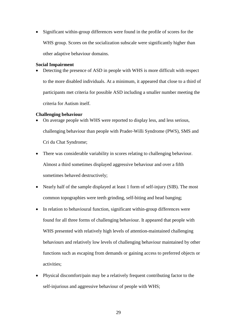• Significant within-group differences were found in the profile of scores for the WHS group. Scores on the socialization subscale were significantly higher than other adaptive behaviour domains.

#### **Social Impairment**

• Detecting the presence of ASD in people with WHS is more difficult with respect to the more disabled individuals. At a minimum, it appeared that close to a third of participants met criteria for possible ASD including a smaller number meeting the criteria for Autism itself.

#### **Challenging behaviour**

- On average people with WHS were reported to display less, and less serious, challenging behaviour than people with Prader-Willi Syndrome (PWS), SMS and Cri du Chat Syndrome;
- There was considerable variability in scores relating to challenging behaviour. Almost a third sometimes displayed aggressive behaviour and over a fifth sometimes behaved destructively;
- Nearly half of the sample displayed at least 1 form of self-injury (SIB). The most common topographies were teeth grinding, self-biting and head banging;
- In relation to behavioural function, significant within-group differences were found for all three forms of challenging behaviour. It appeared that people with WHS presented with relatively high levels of attention-maintained challenging behaviours and relatively low levels of challenging behaviour maintained by other functions such as escaping from demands or gaining access to preferred objects or activities;
- Physical discomfort/pain may be a relatively frequent contributing factor to the self-injurious and aggressive behaviour of people with WHS;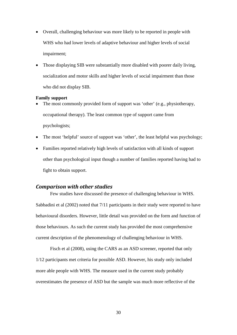- Overall, challenging behaviour was more likely to be reported in people with WHS who had lower levels of adaptive behaviour and higher levels of social impairment;
- Those displaying SIB were substantially more disabled with poorer daily living, socialization and motor skills and higher levels of social impairment than those who did not display SIB.

#### **Family support**

- The most commonly provided form of support was 'other' (e.g., physiotherapy, occupational therapy). The least common type of support came from psychologists;
- The most 'helpful' source of support was 'other', the least helpful was psychology;
- Families reported relatively high levels of satisfaction with all kinds of support other than psychological input though a number of families reported having had to fight to obtain support.

# <span id="page-30-0"></span>*Comparison with other studies*

Few studies have discussed the presence of challenging behaviour in WHS. Sabbadini et al (2002) noted that 7/11 participants in their study were reported to have behavioural disorders. However, little detail was provided on the form and function of those behaviours. As such the current study has provided the most comprehensive current description of the phenomenology of challenging behaviour in WHS.

Fisch et al (2008), using the CARS as an ASD screener, reported that only 1/12 participants met criteria for possible ASD. However, his study only included more able people with WHS. The measure used in the current study probably overestimates the presence of ASD but the sample was much more reflective of the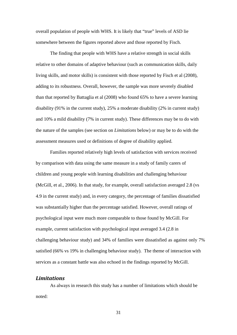overall population of people with WHS. It is likely that "true" levels of ASD lie somewhere between the figures reported above and those reported by Fisch.

The finding that people with WHS have a relative strength in social skills relative to other domains of adaptive behaviour (such as communication skills, daily living skills, and motor skills) is consistent with those reported by Fisch et al (2008), adding to its robustness. Overall, however, the sample was more severely disabled than that reported by Battaglia et al (2008) who found 65% to have a severe learning disability (91% in the current study), 25% a moderate disability (2% in current study) and 10% a mild disability (7% in current study). These differences may be to do with the nature of the samples (see section on *Limitations* below) or may be to do with the assessment measures used or definitions of degree of disability applied.

Families reported relatively high levels of satisfaction with services received by comparison with data using the same measure in a study of family carers of children and young people with learning disabilities and challenging behaviour (McGill, et al., 2006). In that study, for example, overall satisfaction averaged 2.8 (vs 4.9 in the current study) and, in every category, the percentage of families dissatisfied was substantially higher than the percentage satisfied. However, overall ratings of psychological input were much more comparable to those found by McGill. For example, current satisfaction with psychological input averaged 3.4 (2.8 in challenging behaviour study) and 34% of families were dissatisfied as against only 7% satisfied (66% vs 19% in challenging behaviour study). The theme of interaction with services as a constant battle was also echoed in the findings reported by McGill.

## <span id="page-31-0"></span>*Limitations*

As always in research this study has a number of limitations which should be noted: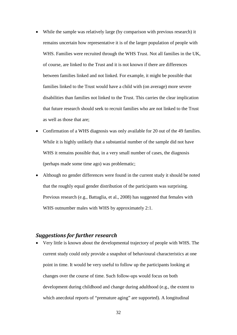- While the sample was relatively large (by comparison with previous research) it remains uncertain how representative it is of the larger population of people with WHS. Families were recruited through the WHS Trust. Not all families in the UK, of course, are linked to the Trust and it is not known if there are differences between families linked and not linked. For example, it might be possible that families linked to the Trust would have a child with (on average) more severe disabilities than families not linked to the Trust. This carries the clear implication that future research should seek to recruit families who are not linked to the Trust as well as those that are;
- Confirmation of a WHS diagnosis was only available for 20 out of the 49 families. While it is highly unlikely that a substantial number of the sample did not have WHS it remains possible that, in a very small number of cases, the diagnosis (perhaps made some time ago) was problematic;
- Although no gender differences were found in the current study it should be noted that the roughly equal gender distribution of the participants was surprising. Previous research (e.g., Battaglia, et al., 2008) has suggested that females with WHS outnumber males with WHS by approximately 2:1.

## <span id="page-32-0"></span>*Suggestions for further research*

• Very little is known about the developmental trajectory of people with WHS. The current study could only provide a snapshot of behavioural characteristics at one point in time. It would be very useful to follow up the participants looking at changes over the course of time. Such follow-ups would focus on both development during childhood and change during adulthood (e.g., the extent to which anecdotal reports of "premature aging" are supported). A longitudinal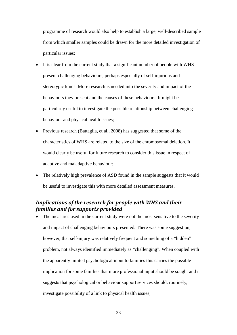programme of research would also help to establish a large, well-described sample from which smaller samples could be drawn for the more detailed investigation of particular issues;

- It is clear from the current study that a significant number of people with WHS present challenging behaviours, perhaps especially of self-injurious and stereotypic kinds. More research is needed into the severity and impact of the behaviours they present and the causes of these behaviours. It might be particularly useful to investigate the possible relationship between challenging behaviour and physical health issues;
- Previous research (Battaglia, et al., 2008) has suggested that some of the characteristics of WHS are related to the size of the chromosomal deletion. It would clearly be useful for future research to consider this issue in respect of adaptive and maladaptive behaviour;
- The relatively high prevalence of ASD found in the sample suggests that it would be useful to investigate this with more detailed assessment measures.

# <span id="page-33-0"></span>*Implications of the research for people with WHS and their families and for supports provided*

The measures used in the current study were not the most sensitive to the severity and impact of challenging behaviours presented. There was some suggestion, however, that self-injury was relatively frequent and something of a "hidden" problem, not always identified immediately as "challenging". When coupled with the apparently limited psychological input to families this carries the possible implication for some families that more professional input should be sought and it suggests that psychological or behaviour support services should, routinely, investigate possibility of a link to physical health issues;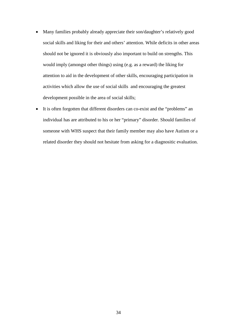- Many families probably already appreciate their son/daughter's relatively good social skills and liking for their and others' attention. While deficits in other areas should not be ignored it is obviously also important to build on strengths. This would imply (amongst other things) using (e.g. as a reward) the liking for attention to aid in the development of other skills, encouraging participation in activities which allow the use of social skills and encouraging the greatest development possible in the area of social skills;
- It is often forgotten that different disorders can co-exist and the "problems" an individual has are attributed to his or her "primary" disorder. Should families of someone with WHS suspect that their family member may also have Autism or a related disorder they should not hesitate from asking for a diagnositic evaluation.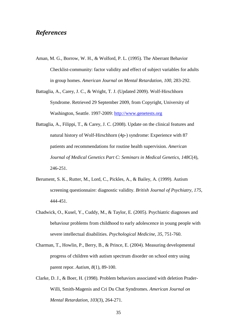# <span id="page-35-0"></span>*References*

- Aman, M. G., Borrow, W. H., & Wolford, P. L. (1995). The Aberrant Behavior Checklist-community: factor validity and effect of subject variables for adults in group homes. *American Journal on Mental Retardation, 100*, 283-292.
- Battaglia, A., Carey, J. C., & Wright, T. J. (Updated 2009). Wolf-Hirschhorn Syndrome. Retrieved 29 September 2009, from Copyright, University of Washington, Seattle. 1997-2009: [http://www.genetests.org](http://www.genetests.org/)
- Battaglia, A., Filippi, T., & Carey, J. C. (2008). Update on the clinical features and natural history of Wolf-Hirschhorn (4p-) syndrome: Experience with 87 patients and recommendations for routine health supervision. *American Journal of Medical Genetics Part C: Seminars in Medical Genetics, 148C*(4), 246-251.
- Berument, S. K., Rutter, M., Lord, C., Pickles, A., & Bailey, A. (1999). Autism screening questionnaire: diagnostic validity. *British Journal of Psychiatry, 175*, 444-451.
- Chadwick, O., Kusel, Y., Cuddy, M., & Taylor, E. (2005). Psychiatric diagnoses and behaviour problems from childhood to early adolescence in young people with severe intellectual disabilities. *Psychological Medicine, 35*, 751-760.
- Charman, T., Howlin, P., Berry, B., & Prince, E. (2004). Measuring developmental progress of children with autism spectrum disorder on school entry using parent repor. *Autism, 8*(1), 89-100.
- Clarke, D. J., & Boer, H. (1998). Problem behaviors associated with deletion Prader-Willi, Smith-Magenis and Cri Du Chat Syndromes. *American Journal on Mental Retardation, 103*(3), 264-271.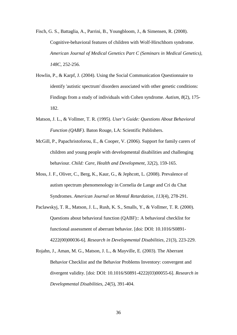Fisch, G. S., Battaglia, A., Parrini, B., Youngbloom, J., & Simensen, R. (2008). Cognitive-behavioral features of children with Wolf-Hirschhorn syndrome. *American Journal of Medical Genetics Part C (Seminars in Medical Genetics), 148C*, 252-256.

- Howlin, P., & Karpf, J. (2004). Using the Social Communication Questionnaire to identify 'autistic spectrum' disorders associated with other genetic conditions: Findings from a study of individuals with Cohen syndrome. *Autism, 8*(2), 175- 182.
- Matson, J. L., & Vollmer, T. R. (1995). *User's Guide: Questions About Behavioral Function (QABF)*. Baton Rouge, LA: Scientific Publishers.
- McGill, P., Papachristoforou, E., & Cooper, V. (2006). Support for family carers of children and young people with developmental disabilities and challenging behaviour. *Child: Care, Health and Development, 32*(2), 159-165.
- Moss, J. F., Oliver, C., Berg, K., Kaur, G., & Jephcott, L. (2008). Prevalence of autism spectrum phenomenology in Cornelia de Lange and Cri du Chat Syndromes. *American Journal on Mental Retardation, 113*(4), 278-291.
- Paclawskyj, T. R., Matson, J. L., Rush, K. S., Smalls, Y., & Vollmer, T. R. (2000). Questions about behavioral function (QABF):: A behavioral checklist for functional assessment of aberrant behavior. [doi: DOI: 10.1016/S0891- 4222(00)00036-6]. *Research in Developmental Disabilities, 21*(3), 223-229.
- Rojahn, J., Aman, M. G., Matson, J. L., & Mayville, E. (2003). The Aberrant Behavior Checklist and the Behavior Problems Inventory: convergent and divergent validity. [doi: DOI: 10.1016/S0891-4222(03)00055-6]. *Research in Developmental Disabilities, 24*(5), 391-404.